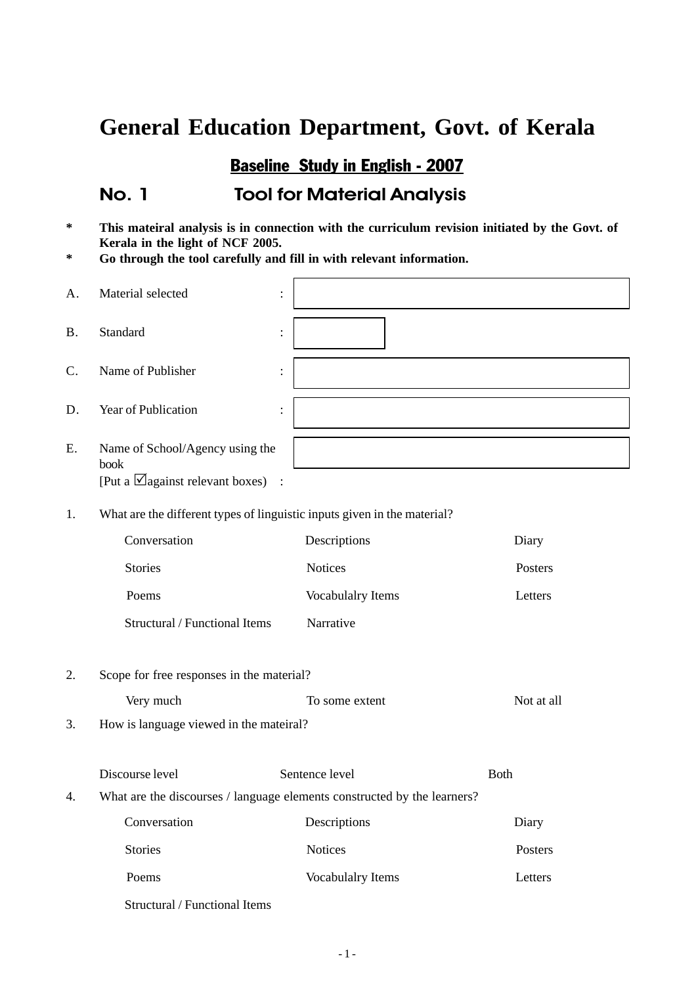#### Baseline Study in English - 2007

#### No. 1 Tool for Material Analysis

- **\* This mateiral analysis is in connection with the curriculum revision initiated by the Govt. of Kerala in the light of NCF 2005.**
- **\* Go through the tool carefully and fill in with relevant information.**

| A.              | Material selected                                                                  | $\vdots$                                                                                   |             |
|-----------------|------------------------------------------------------------------------------------|--------------------------------------------------------------------------------------------|-------------|
| <b>B.</b>       | Standard                                                                           | :                                                                                          |             |
| $\mathcal{C}$ . | Name of Publisher                                                                  | :                                                                                          |             |
| D.              | Year of Publication                                                                | :                                                                                          |             |
| Ε.              | Name of School/Agency using the<br>book<br>[Put a $\Box$ against relevant boxes) : |                                                                                            |             |
| 1.              | What are the different types of linguistic inputs given in the material?           |                                                                                            |             |
|                 | Conversation                                                                       | Descriptions                                                                               | Diary       |
|                 | <b>Stories</b>                                                                     | <b>Notices</b>                                                                             | Posters     |
|                 | Poems                                                                              | <b>Vocabulalry Items</b>                                                                   | Letters     |
|                 | Structural / Functional Items                                                      | Narrative                                                                                  |             |
| 2.              | Scope for free responses in the material?                                          |                                                                                            |             |
|                 | Very much                                                                          | To some extent                                                                             | Not at all  |
| 3.              | How is language viewed in the mateiral?                                            |                                                                                            |             |
| 4.              | Discourse level                                                                    | Sentence level<br>What are the discourses / language elements constructed by the learners? | <b>Both</b> |
|                 | Conversation                                                                       | Descriptions                                                                               | Diary       |
|                 | <b>Stories</b>                                                                     | Notices                                                                                    | Posters     |
|                 |                                                                                    |                                                                                            |             |
|                 | Poems                                                                              | Vocabulalry Items                                                                          | Letters     |
|                 | Structural / Functional Items                                                      |                                                                                            |             |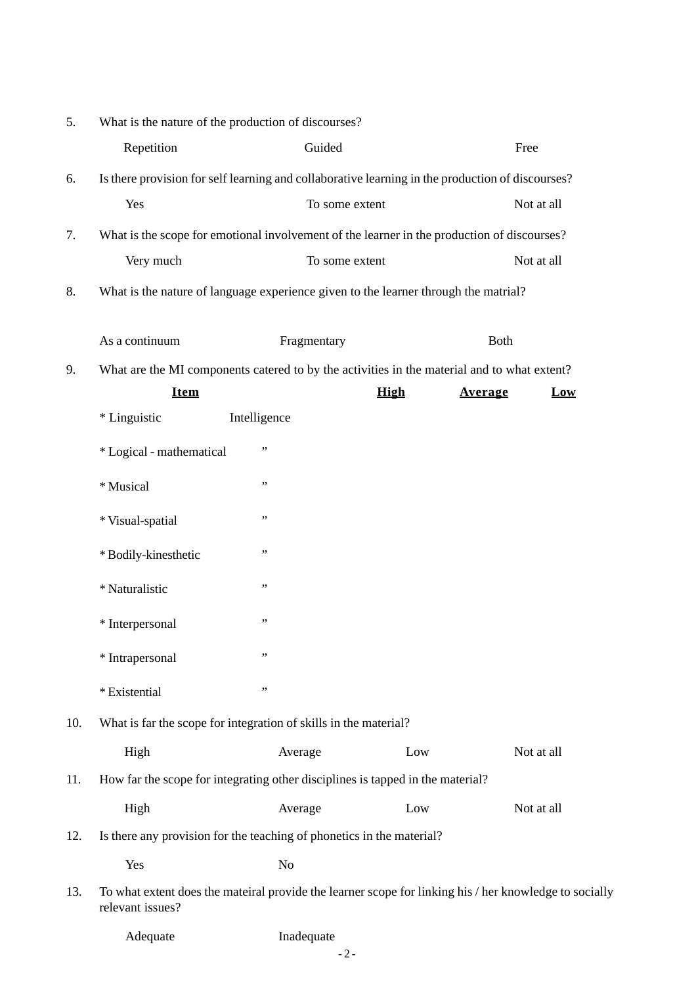| Repetition<br>Guided<br>Is there provision for self learning and collaborative learning in the production of discourses?<br>6.<br>Yes<br>To some extent<br>What is the scope for emotional involvement of the learner in the production of discourses?<br>7.<br>Very much<br>To some extent<br>What is the nature of language experience given to the learner through the matrial?<br>8.<br>As a continuum<br>Fragmentary<br>Both<br>What are the MI components catered to by the activities in the material and to what extent?<br>9.<br><b>Item</b><br><b>High</b><br><b>Average</b><br>* Linguistic<br>Intelligence<br>,,<br>* Logical - mathematical<br>,,<br>* Musical<br>,,<br>* Visual-spatial<br>,,<br>* Bodily-kinesthetic<br>,,<br>* Naturalistic<br>,,<br>* Interpersonal<br>,,<br>* Intrapersonal | Free<br>Not at all<br>Not at all<br>$_{\text{Low}}$ |
|---------------------------------------------------------------------------------------------------------------------------------------------------------------------------------------------------------------------------------------------------------------------------------------------------------------------------------------------------------------------------------------------------------------------------------------------------------------------------------------------------------------------------------------------------------------------------------------------------------------------------------------------------------------------------------------------------------------------------------------------------------------------------------------------------------------|-----------------------------------------------------|
|                                                                                                                                                                                                                                                                                                                                                                                                                                                                                                                                                                                                                                                                                                                                                                                                               |                                                     |
|                                                                                                                                                                                                                                                                                                                                                                                                                                                                                                                                                                                                                                                                                                                                                                                                               |                                                     |
|                                                                                                                                                                                                                                                                                                                                                                                                                                                                                                                                                                                                                                                                                                                                                                                                               |                                                     |
|                                                                                                                                                                                                                                                                                                                                                                                                                                                                                                                                                                                                                                                                                                                                                                                                               |                                                     |
|                                                                                                                                                                                                                                                                                                                                                                                                                                                                                                                                                                                                                                                                                                                                                                                                               |                                                     |
|                                                                                                                                                                                                                                                                                                                                                                                                                                                                                                                                                                                                                                                                                                                                                                                                               |                                                     |
|                                                                                                                                                                                                                                                                                                                                                                                                                                                                                                                                                                                                                                                                                                                                                                                                               |                                                     |
|                                                                                                                                                                                                                                                                                                                                                                                                                                                                                                                                                                                                                                                                                                                                                                                                               |                                                     |
|                                                                                                                                                                                                                                                                                                                                                                                                                                                                                                                                                                                                                                                                                                                                                                                                               |                                                     |
|                                                                                                                                                                                                                                                                                                                                                                                                                                                                                                                                                                                                                                                                                                                                                                                                               |                                                     |
|                                                                                                                                                                                                                                                                                                                                                                                                                                                                                                                                                                                                                                                                                                                                                                                                               |                                                     |
|                                                                                                                                                                                                                                                                                                                                                                                                                                                                                                                                                                                                                                                                                                                                                                                                               |                                                     |
|                                                                                                                                                                                                                                                                                                                                                                                                                                                                                                                                                                                                                                                                                                                                                                                                               |                                                     |
|                                                                                                                                                                                                                                                                                                                                                                                                                                                                                                                                                                                                                                                                                                                                                                                                               |                                                     |
|                                                                                                                                                                                                                                                                                                                                                                                                                                                                                                                                                                                                                                                                                                                                                                                                               |                                                     |
|                                                                                                                                                                                                                                                                                                                                                                                                                                                                                                                                                                                                                                                                                                                                                                                                               |                                                     |
|                                                                                                                                                                                                                                                                                                                                                                                                                                                                                                                                                                                                                                                                                                                                                                                                               |                                                     |
| ,,<br>* Existential                                                                                                                                                                                                                                                                                                                                                                                                                                                                                                                                                                                                                                                                                                                                                                                           |                                                     |
| 10.<br>What is far the scope for integration of skills in the material?                                                                                                                                                                                                                                                                                                                                                                                                                                                                                                                                                                                                                                                                                                                                       |                                                     |
| High<br>Low<br>Average                                                                                                                                                                                                                                                                                                                                                                                                                                                                                                                                                                                                                                                                                                                                                                                        | Not at all                                          |
| 11.<br>How far the scope for integrating other disciplines is tapped in the material?                                                                                                                                                                                                                                                                                                                                                                                                                                                                                                                                                                                                                                                                                                                         |                                                     |
| High<br>Low<br>Average                                                                                                                                                                                                                                                                                                                                                                                                                                                                                                                                                                                                                                                                                                                                                                                        | Not at all                                          |
| Is there any provision for the teaching of phonetics in the material?<br>12.                                                                                                                                                                                                                                                                                                                                                                                                                                                                                                                                                                                                                                                                                                                                  |                                                     |
| Yes<br>N <sub>0</sub>                                                                                                                                                                                                                                                                                                                                                                                                                                                                                                                                                                                                                                                                                                                                                                                         |                                                     |
| 13.<br>To what extent does the mateiral provide the learner scope for linking his / her knowledge to socially<br>relevant issues?                                                                                                                                                                                                                                                                                                                                                                                                                                                                                                                                                                                                                                                                             |                                                     |

Adequate **Inadequate**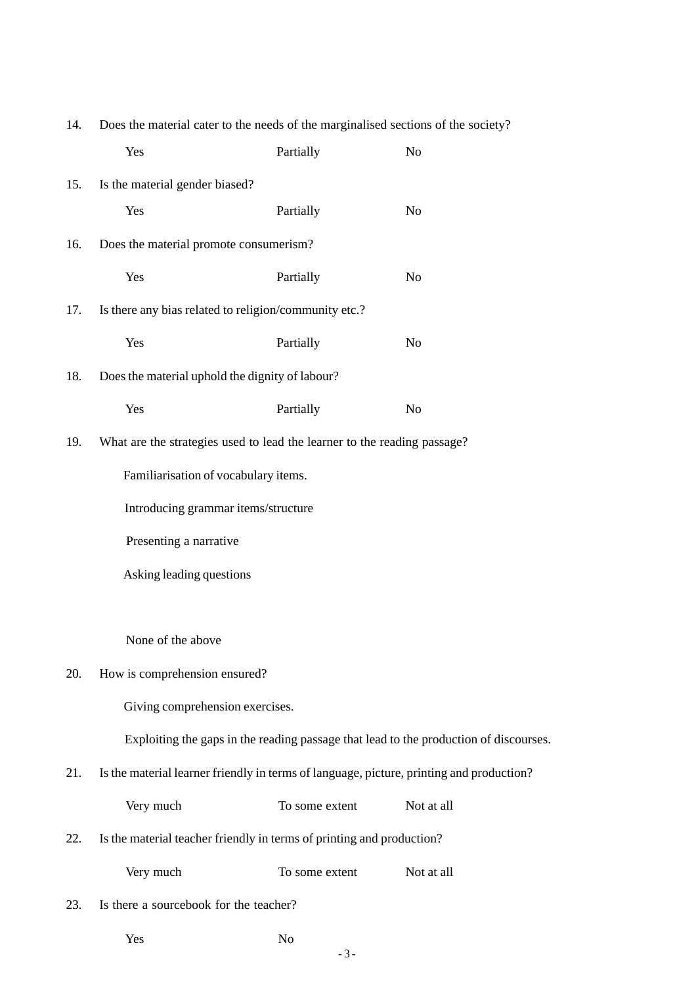| 14. | Does the material cater to the needs of the marginalised sections of the society? |                                                                       |                                                                                          |
|-----|-----------------------------------------------------------------------------------|-----------------------------------------------------------------------|------------------------------------------------------------------------------------------|
|     | Yes                                                                               | Partially                                                             | No                                                                                       |
| 15. | Is the material gender biased?                                                    |                                                                       |                                                                                          |
|     | Yes                                                                               | Partially                                                             | $\rm No$                                                                                 |
| 16. | Does the material promote consumerism?                                            |                                                                       |                                                                                          |
|     | Yes                                                                               | Partially                                                             | N <sub>o</sub>                                                                           |
| 17. | Is there any bias related to religion/community etc.?                             |                                                                       |                                                                                          |
|     | Yes                                                                               | Partially                                                             | No                                                                                       |
| 18. | Does the material uphold the dignity of labour?                                   |                                                                       |                                                                                          |
|     | Yes                                                                               | Partially                                                             | No                                                                                       |
| 19. | What are the strategies used to lead the learner to the reading passage?          |                                                                       |                                                                                          |
|     | Familiarisation of vocabulary items.                                              |                                                                       |                                                                                          |
|     | Introducing grammar items/structure                                               |                                                                       |                                                                                          |
|     | Presenting a narrative                                                            |                                                                       |                                                                                          |
|     | Asking leading questions                                                          |                                                                       |                                                                                          |
|     |                                                                                   |                                                                       |                                                                                          |
|     | None of the above                                                                 |                                                                       |                                                                                          |
| 20. | How is comprehension ensured?                                                     |                                                                       |                                                                                          |
|     | Giving comprehension exercises.                                                   |                                                                       |                                                                                          |
|     |                                                                                   |                                                                       | Exploiting the gaps in the reading passage that lead to the production of discourses.    |
| 21. |                                                                                   |                                                                       | Is the material learner friendly in terms of language, picture, printing and production? |
|     | Very much                                                                         | To some extent                                                        | Not at all                                                                               |
| 22. |                                                                                   | Is the material teacher friendly in terms of printing and production? |                                                                                          |
|     | Very much                                                                         | To some extent                                                        | Not at all                                                                               |
| 23. | Is there a sourcebook for the teacher?                                            |                                                                       |                                                                                          |

| Yes | No |
|-----|----|
|     |    |

- 3 -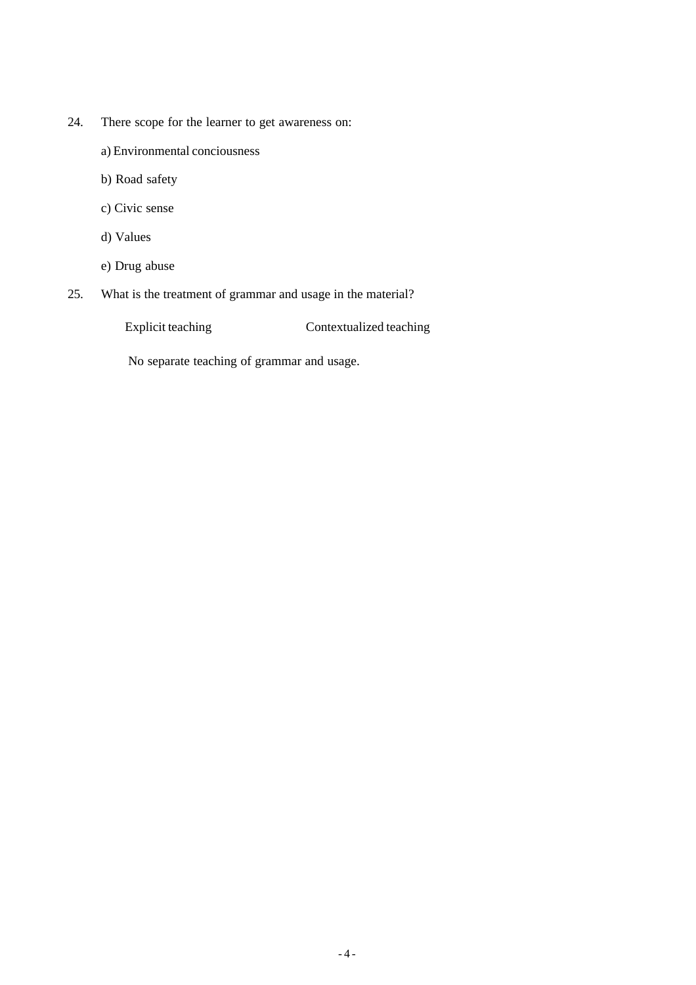- 24. There scope for the learner to get awareness on:
	- a) Environmental conciousness
	- b) Road safety
	- c) Civic sense
	- d) Values
	- e) Drug abuse
- 25. What is the treatment of grammar and usage in the material?

Explicit teaching Contextualized teaching

No separate teaching of grammar and usage.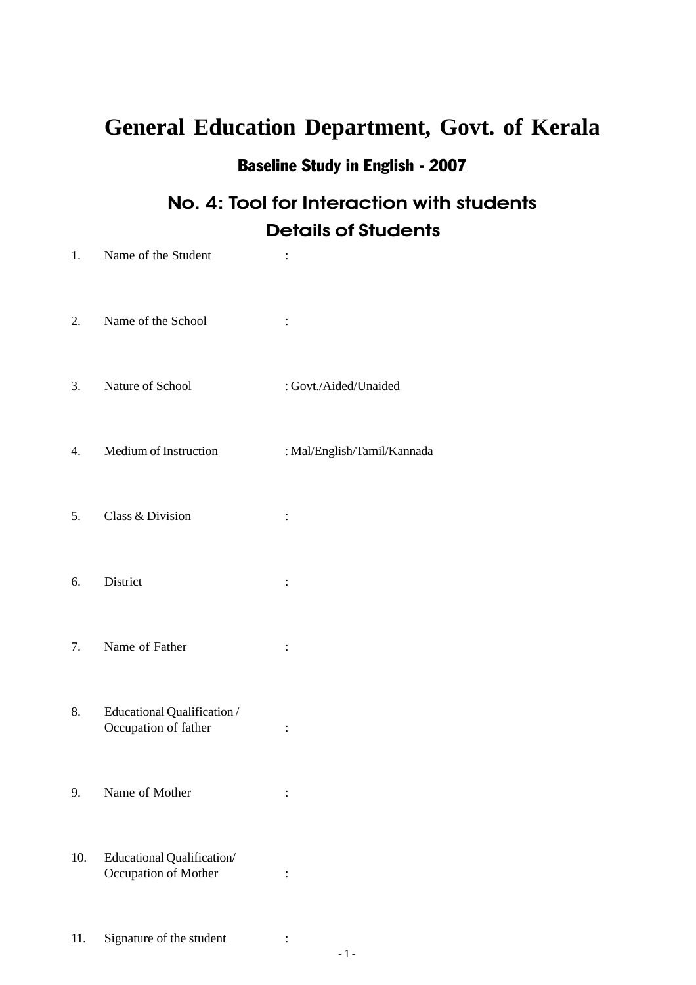# Baseline Study in English - 2007

## No. 4: Tool for Interaction with students Details of Students

| 1.  | Name of the Student                                |                             |
|-----|----------------------------------------------------|-----------------------------|
| 2.  | Name of the School                                 | $\ddot{\cdot}$              |
| 3.  | Nature of School                                   | : Govt./Aided/Unaided       |
| 4.  | Medium of Instruction                              | : Mal/English/Tamil/Kannada |
| 5.  | Class & Division                                   | $\ddot{\cdot}$              |
| 6.  | District                                           | :                           |
| 7.  | Name of Father                                     | :                           |
| 8.  | Educational Qualification/<br>Occupation of father | $\ddot{\cdot}$              |
| 9.  | Name of Mother                                     |                             |
| 10. | Educational Qualification/<br>Occupation of Mother | $\ddot{\cdot}$              |
| 11. | Signature of the student                           |                             |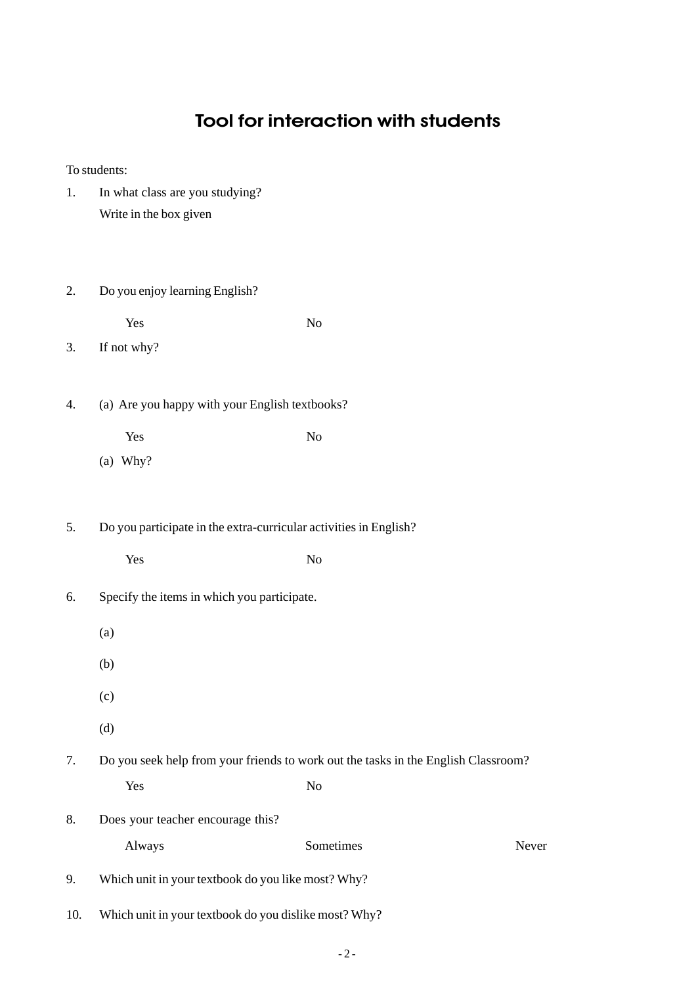#### Tool for interaction with students

To students:

- 1. In what class are you studying? Write in the box given
- 2. Do you enjoy learning English?

Yes No

- 3. If not why?
- 4. (a) Are you happy with your English textbooks?
	- Yes No
	- (a) Why?
- 5. Do you participate in the extra-curricular activities in English?
	- Yes No
- 6. Specify the items in which you participate.
	- (a)
	- (b)
	-
	- (c)
	- (d)

7. Do you seek help from your friends to work out the tasks in the English Classroom?

Yes No

8. Does your teacher encourage this?

| Never<br>Sometimes<br>Always |
|------------------------------|
|------------------------------|

- 9. Which unit in your textbook do you like most? Why?
- 10. Which unit in your textbook do you dislike most? Why?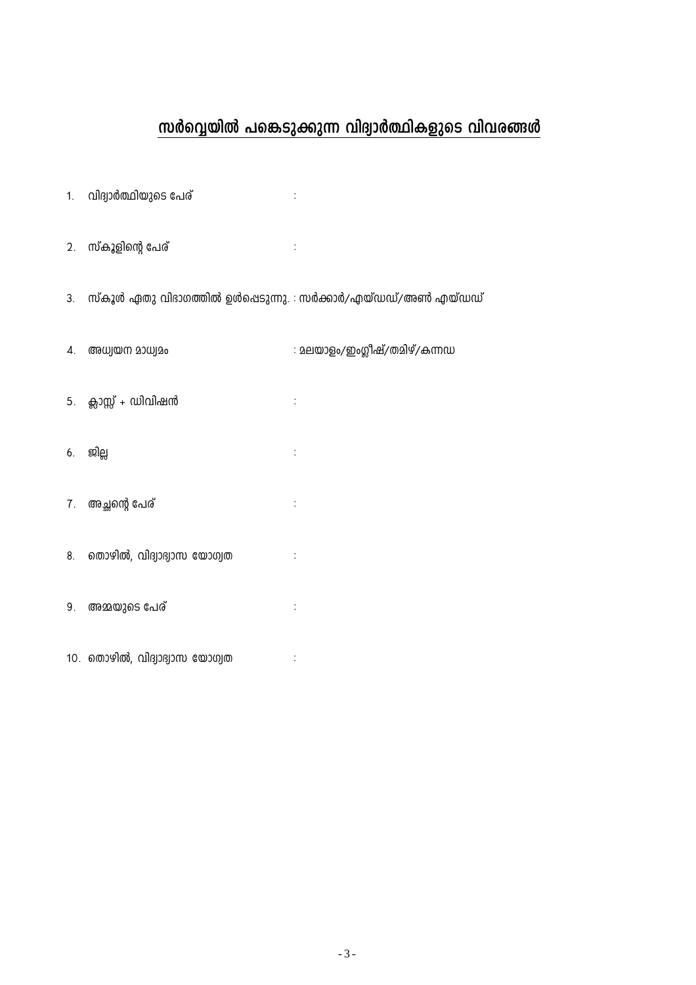#### സർവ്വെയിൽ പങ്കെടുക്കുന്ന വിദ്വാർത്ഥികളുടെ വിവരങ്ങൾ

- 1. വിദ്യാർത്ഥിയുടെ പേര്
- 2. സ്കൂളിന്റെ പേര്
- 3. സ്കൂൾ ഏതു വിഭാഗത്തിൽ ഉൾപ്പെടുന്നു. : സർക്കാർ/എയ്ഡഡ്/അൺ എയ്ഡഡ്

 $\div$ 

 $\sim$  1

4. അധ്വയന മാധ്വമം : മലയാളം/ഇംഗ്ലീഷ്/തമിഴ്/കന്നഡ 5. ക്ലാസ്സ് + ഡിവിഷൻ  $\sim$  1 6. ജില്ല  $\vdots$ 7. അച്ഛന്റെ പേര്  $\frac{1}{2}$ 8. തൊഴിൽ, വിദ്യാഭ്യാസ യോഗ്യത  $\ddot{\cdot}$ 9. അമ്മയുടെ പേര്  $\ddot{\cdot}$ 10. തൊഴിൽ, വിദ്വാഭ്വാസ യോഗ്വത  $\sim 10^{11}$  m  $^{-1}$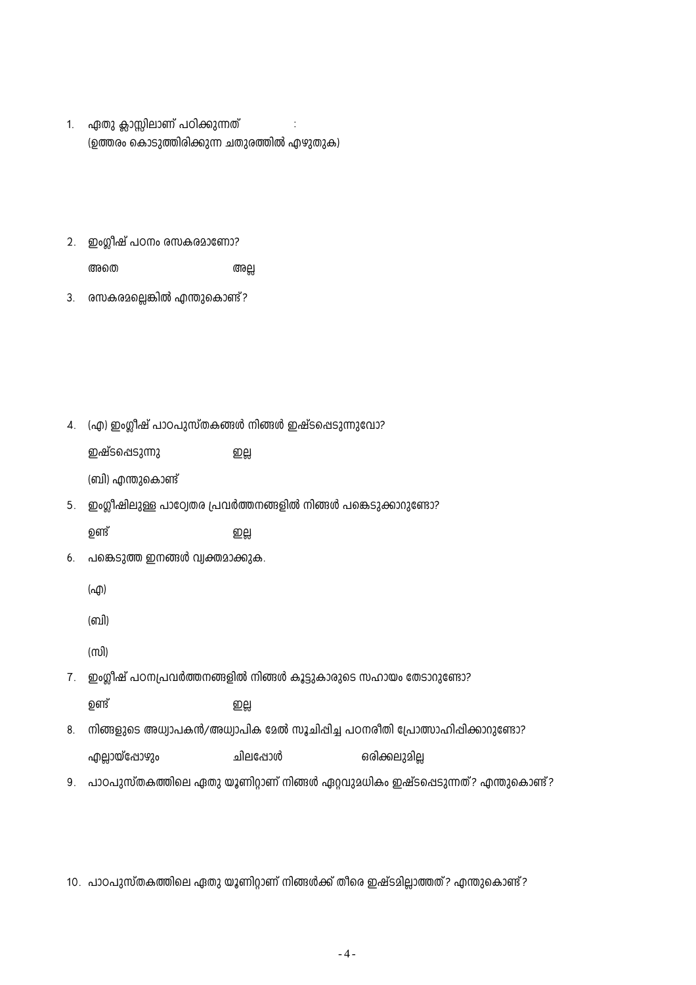| ഏതു ക്ലാസ്സിലാണ് പഠിക്കുന്നത്               |  |
|---------------------------------------------|--|
| (ഉത്തരം കൊടുത്തിരിക്കുന്ന ചതുരത്തിൽ എഴുതുക) |  |

(ബി) എന്തുകൊണ്ട്

ഇഷ്ടപ്പെടുന്നു

2. ഇംഗ്ലീഷ് പഠനം രസകരമാണോ?

3. രസകരമല്ലെങ്കിൽ എന്തുകൊണ്ട്?

അതെ

4. (എ) ഇംഗ്ലീഷ് പാഠപുസ്തകങ്ങൾ നിങ്ങൾ ഇഷ്ടപ്പെടുന്നുവോ?

ഇല്ല

5. ഇംഗ്ലീഷിലുള്ള പാഠ്വേതര പ്രവർത്തനങ്ങളിൽ നിങ്ങൾ പങ്കെടുക്കാറുണ്ടോ?

അല്ല

ഉണ്ട് றபூ

6. പങ്കെടുത്ത ഇനങ്ങൾ വ്യക്തമാക്കുക.

(എ)

(ബി)

ന്ത്രി

7. ഇംഗ്ലീഷ് പഠനപ്രവർത്തനങ്ങളിൽ നിങ്ങൾ കൂട്ടുകാരുടെ സഹായം തേടാറുണ്ടോ?

ഉണ്ട് றபூ

- 8. നിങ്ങളുടെ അധ്വാപകൻ/അധ്വാപിക മേൽ സൂചിപ്പിച്ച പഠനരിതി പ്രോത്സാഹിപ്പിക്കാറുണ്ടോ? എല്ലായ്പ്പോഴും ചിലപ്പോൾ ഒരിക്കലുമില്ല
- 9. പാഠപുസ്തകത്തിലെ ഏതു യൂണിറ്റാണ് നിങ്ങൾ ഏറ്റവുമധികം ഇഷ്ടപ്പെടുന്നത്? എന്തുകൊണ്ട്?

10. പാഠപുസ്തകത്തിലെ ഏതു യൂണിറ്റാണ് നിങ്ങൾക്ക് തീരെ ഇഷ്ടമില്ലാത്തത്? എന്തുകൊണ്ട്?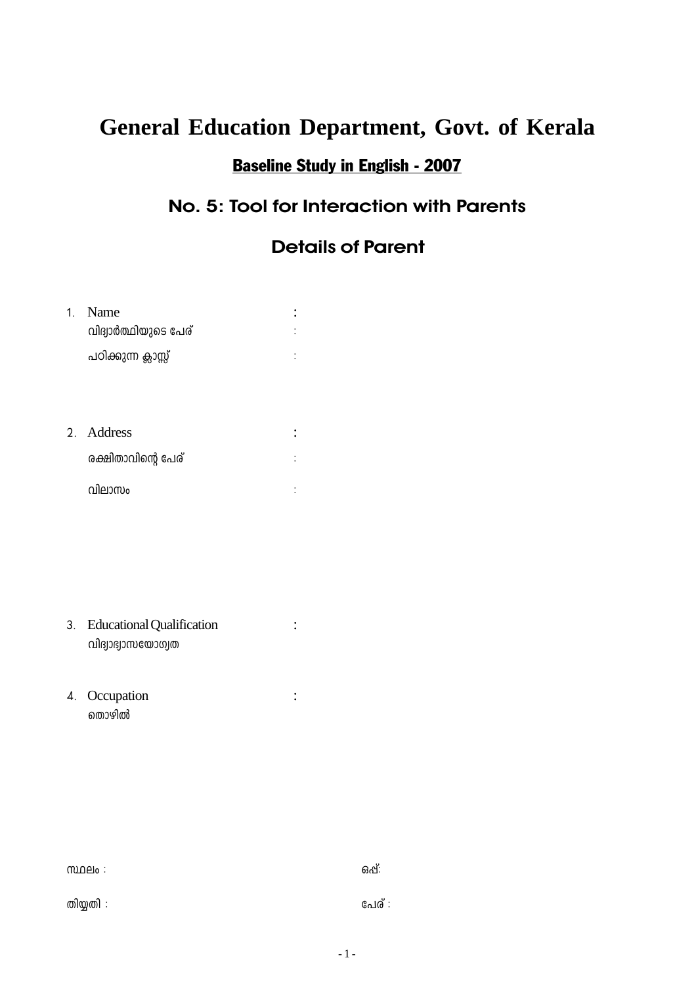## **Baseline Study in English - 2007**

## No. 5: Tool for Interaction with Parents

#### **Details of Parent**

| 1 <sup>1</sup> | Name<br>വിദ്വാർത്ഥിയുടെ പേര്                          | $\ddot{\cdot}$ |
|----------------|-------------------------------------------------------|----------------|
|                | പഠിക്കുന്ന ക്ലാസ്സ്                                   |                |
|                |                                                       |                |
|                | 2. Address                                            | $\ddot{\cdot}$ |
|                | രക്ഷിതാവിന്റെ പേര്                                    |                |
|                | വിലാസം                                                |                |
|                |                                                       |                |
|                |                                                       |                |
|                |                                                       |                |
| 3.             | <b>Educational Qualification</b><br>വിദ്വാഭ്വാസയോഗ്യത | $\colon$       |
|                | 4. Occupation<br>തൊഴിൽ                                |                |
|                |                                                       |                |
|                |                                                       |                |

| $m$ $\Omega$ elo $\colon$ | ഒപ്:   |
|---------------------------|--------|
| തിയ്യതി :                 | പേര് : |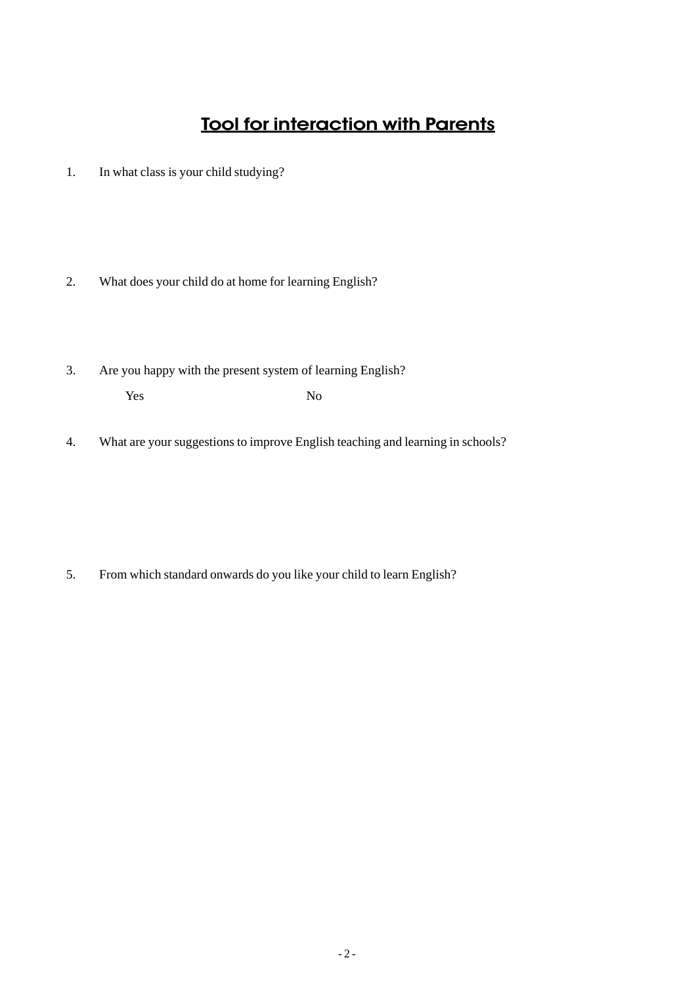#### **Tool for interaction with Parents**

- 1. In what class is your child studying?
- 2. What does your child do at home for learning English?
- 3. Are you happy with the present system of learning English? Yes No
- 4. What are your suggestions to improve English teaching and learning in schools?

5. From which standard onwards do you like your child to learn English?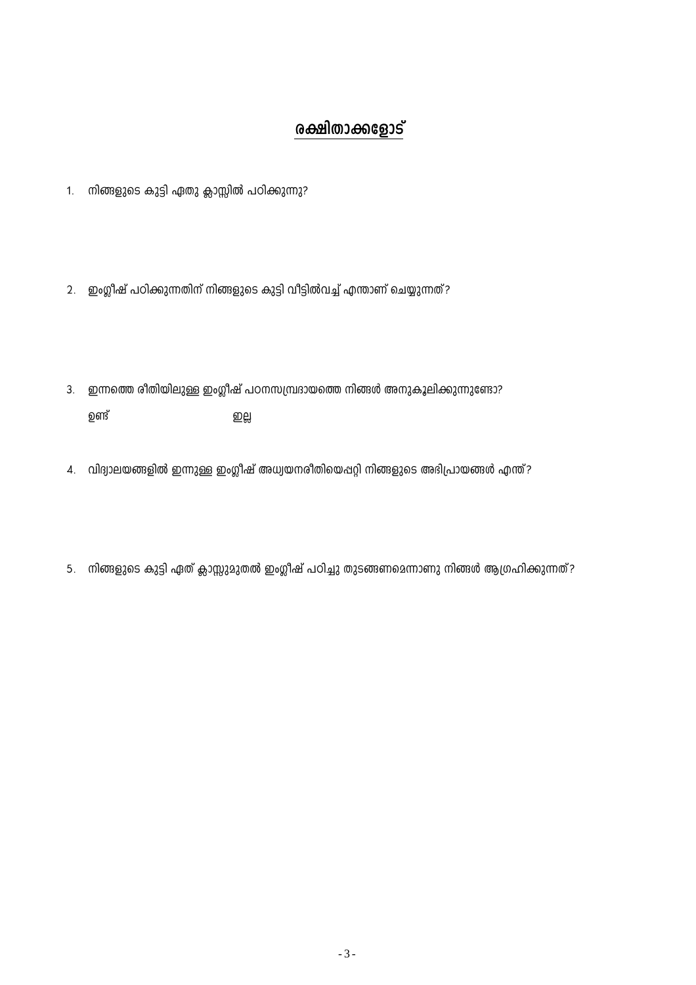## രക്ഷിതാക്കളോട്

- 1. നിങ്ങളുടെ കുട്ടി ഏതു ക്ലാസ്സിൽ പഠിക്കുന്നു?
- 2. ഇംഗ്ലീഷ് പഠിക്കുന്നതിന് നിങ്ങളുടെ കുട്ടി വീട്ടിൽവച്ച് എന്താണ് ചെയ്യുന്നത്?

ഇല്ല

- 3. ഇന്നത്തെ രീതിയിലുള്ള ഇംഗ്ലീഷ് പഠനസമ്പ്രദായത്തെ നിങ്ങൾ അനുകൂലിക്കുന്നുണ്ടോ? ഉണ്ട്
- 4. വിദ്യാലയങ്ങളിൽ ഇന്നുള്ള ഇംഗ്ലീഷ് അധ്യയനരീതിയെപ്പറ്റി നിങ്ങളുടെ അഭിപ്രായങ്ങൾ എന്ത്?
- 5. നിങ്ങളുടെ കുട്ടി ഏത് ക്ലാസ്സുമുതൽ ഇംഗ്ലീഷ് പഠിച്ചു തുടങ്ങണമെന്നാണു നിങ്ങൾ ആഗ്രഹിക്കുന്നത്?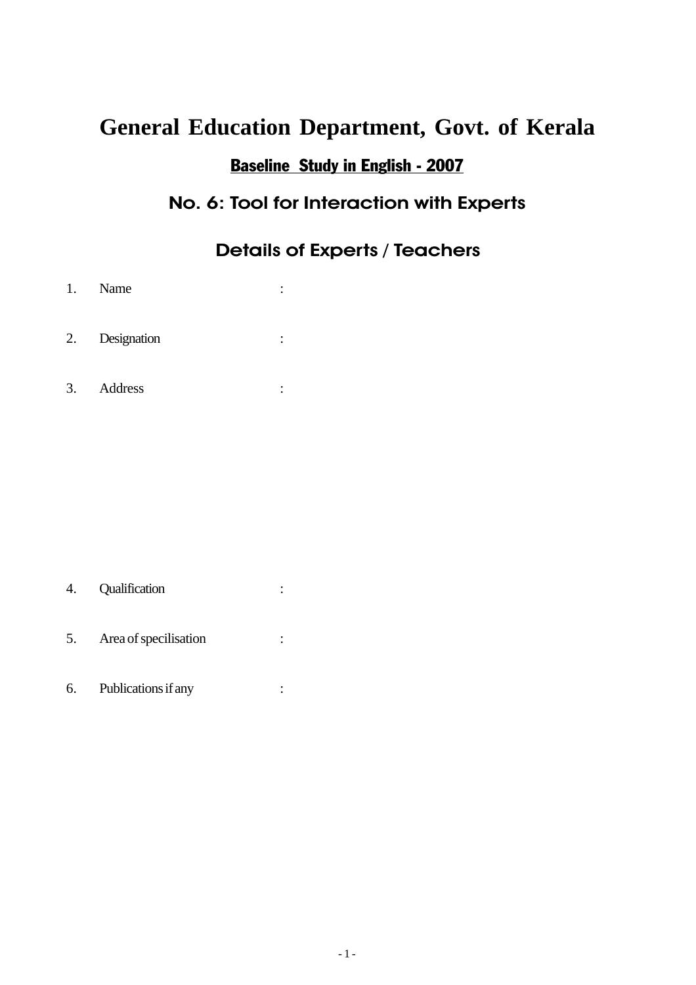#### Baseline Study in English - 2007

#### No. 6: Tool for Interaction with Experts

#### Details of Experts / Teachers

- 1. Name :
- 2. Designation :
- 3. Address :

- 4. Qualification :
- 5. Area of specilisation :
- 6. Publications if any :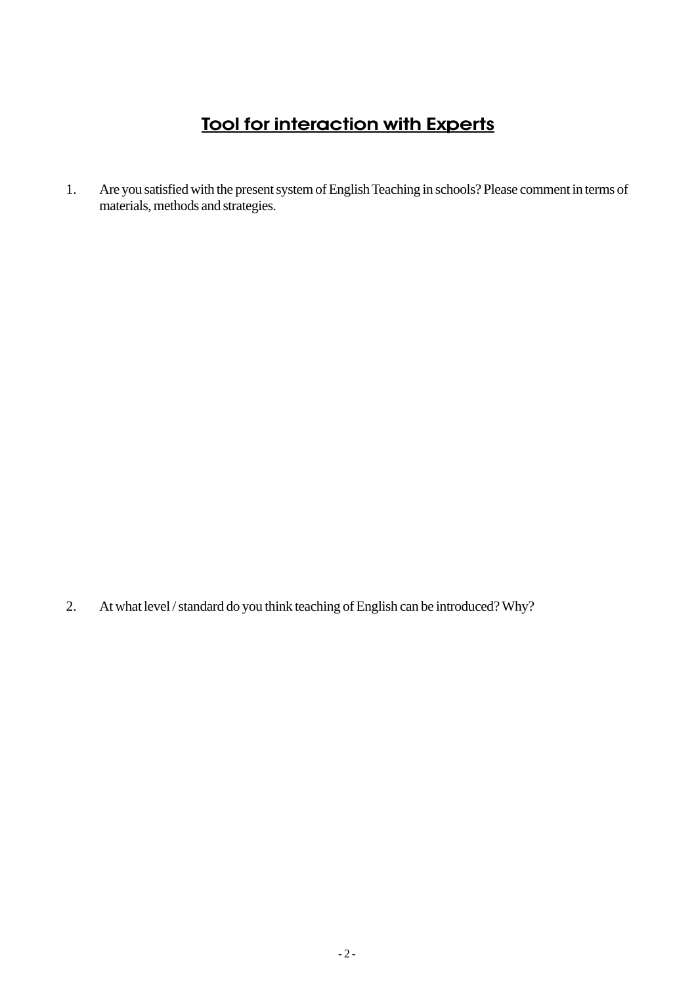#### Tool for interaction with Experts

1. Are you satisfied with the present system of English Teaching in schools? Please comment in terms of materials, methods and strategies.

2. At what level / standard do you think teaching of English can be introduced? Why?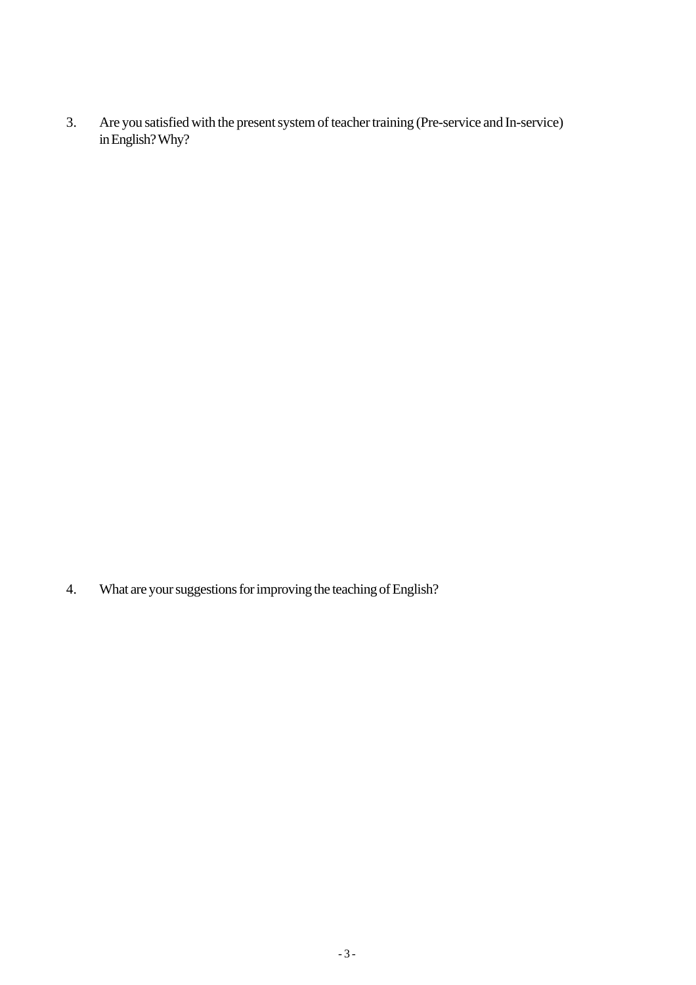3. Are you satisfied with the present system of teacher training (Pre-service and In-service) in English? Why?

4. What are your suggestions for improving the teaching of English?